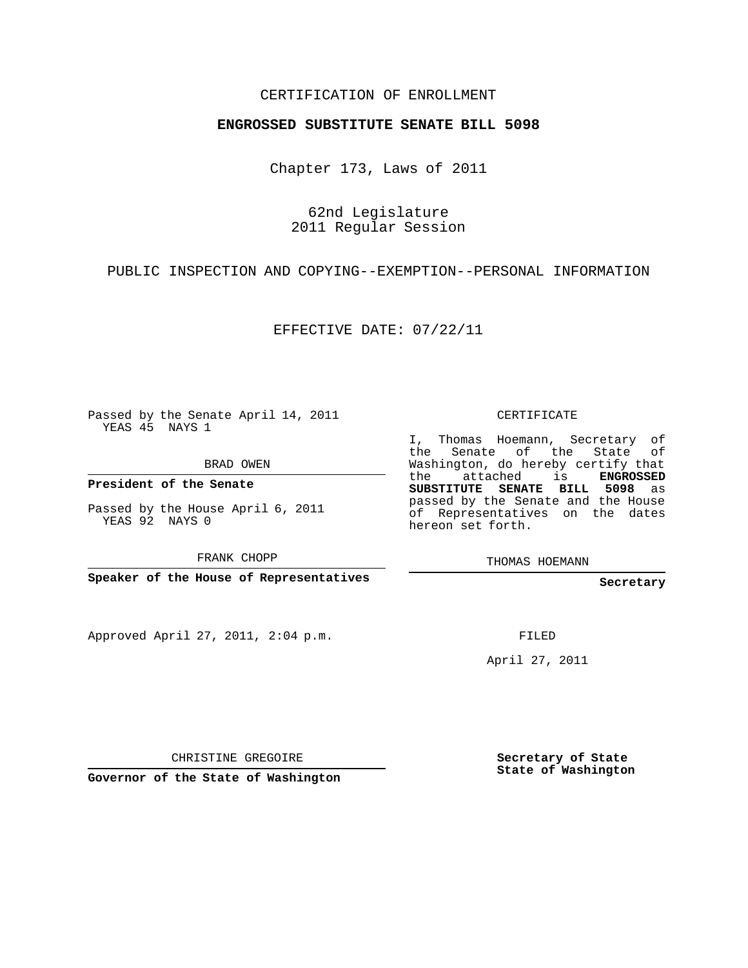## CERTIFICATION OF ENROLLMENT

## **ENGROSSED SUBSTITUTE SENATE BILL 5098**

Chapter 173, Laws of 2011

62nd Legislature 2011 Regular Session

PUBLIC INSPECTION AND COPYING--EXEMPTION--PERSONAL INFORMATION

EFFECTIVE DATE: 07/22/11

Passed by the Senate April 14, 2011 YEAS 45 NAYS 1

BRAD OWEN

**President of the Senate**

Passed by the House April 6, 2011 YEAS 92 NAYS 0

FRANK CHOPP

**Speaker of the House of Representatives**

Approved April 27, 2011, 2:04 p.m.

CERTIFICATE

I, Thomas Hoemann, Secretary of the Senate of the State of Washington, do hereby certify that the attached is **ENGROSSED SUBSTITUTE SENATE BILL 5098** as passed by the Senate and the House of Representatives on the dates hereon set forth.

THOMAS HOEMANN

**Secretary**

FILED

April 27, 2011

CHRISTINE GREGOIRE

**Governor of the State of Washington**

**Secretary of State State of Washington**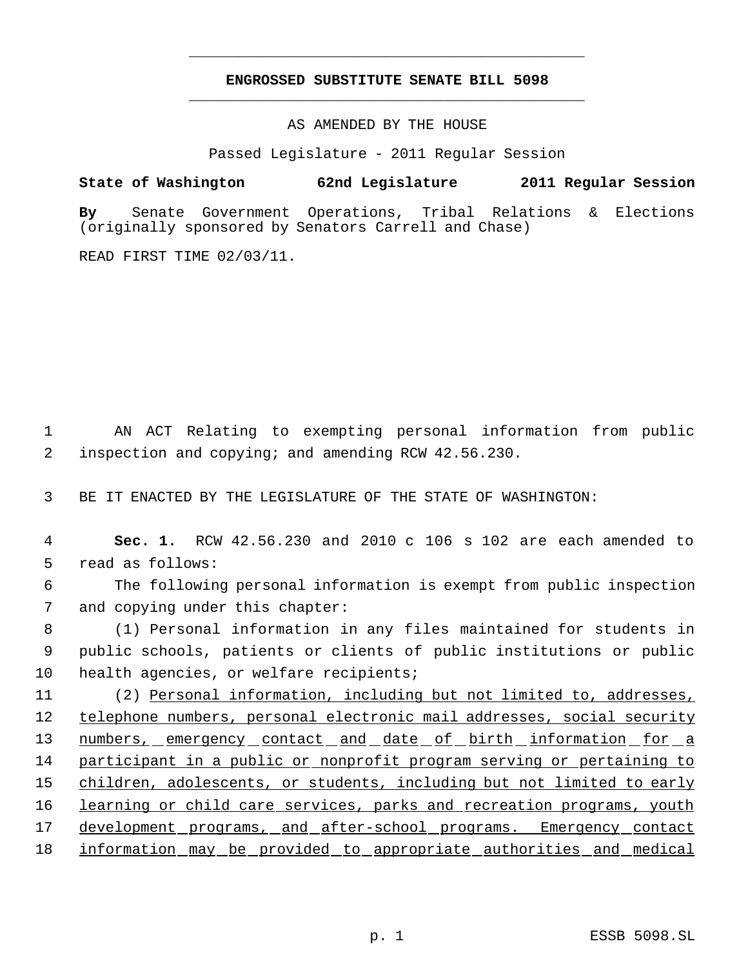## **ENGROSSED SUBSTITUTE SENATE BILL 5098** \_\_\_\_\_\_\_\_\_\_\_\_\_\_\_\_\_\_\_\_\_\_\_\_\_\_\_\_\_\_\_\_\_\_\_\_\_\_\_\_\_\_\_\_\_

\_\_\_\_\_\_\_\_\_\_\_\_\_\_\_\_\_\_\_\_\_\_\_\_\_\_\_\_\_\_\_\_\_\_\_\_\_\_\_\_\_\_\_\_\_

AS AMENDED BY THE HOUSE

Passed Legislature - 2011 Regular Session

**State of Washington 62nd Legislature 2011 Regular Session**

**By** Senate Government Operations, Tribal Relations & Elections (originally sponsored by Senators Carrell and Chase)

READ FIRST TIME 02/03/11.

 1 AN ACT Relating to exempting personal information from public 2 inspection and copying; and amending RCW 42.56.230.

3 BE IT ENACTED BY THE LEGISLATURE OF THE STATE OF WASHINGTON:

 4 **Sec. 1.** RCW 42.56.230 and 2010 c 106 s 102 are each amended to 5 read as follows:

 6 The following personal information is exempt from public inspection 7 and copying under this chapter:

 8 (1) Personal information in any files maintained for students in 9 public schools, patients or clients of public institutions or public 10 health agencies, or welfare recipients;

11 (2) Personal information, including but not limited to, addresses, 12 telephone numbers, personal electronic mail addresses, social security 13 numbers, emergency contact and date of birth information for a 14 participant in a public or nonprofit program serving or pertaining to 15 children, adolescents, or students, including but not limited to early 16 learning or child care services, parks and recreation programs, youth 17 development programs, and after-school programs. Emergency contact 18 information may be provided to appropriate authorities and medical